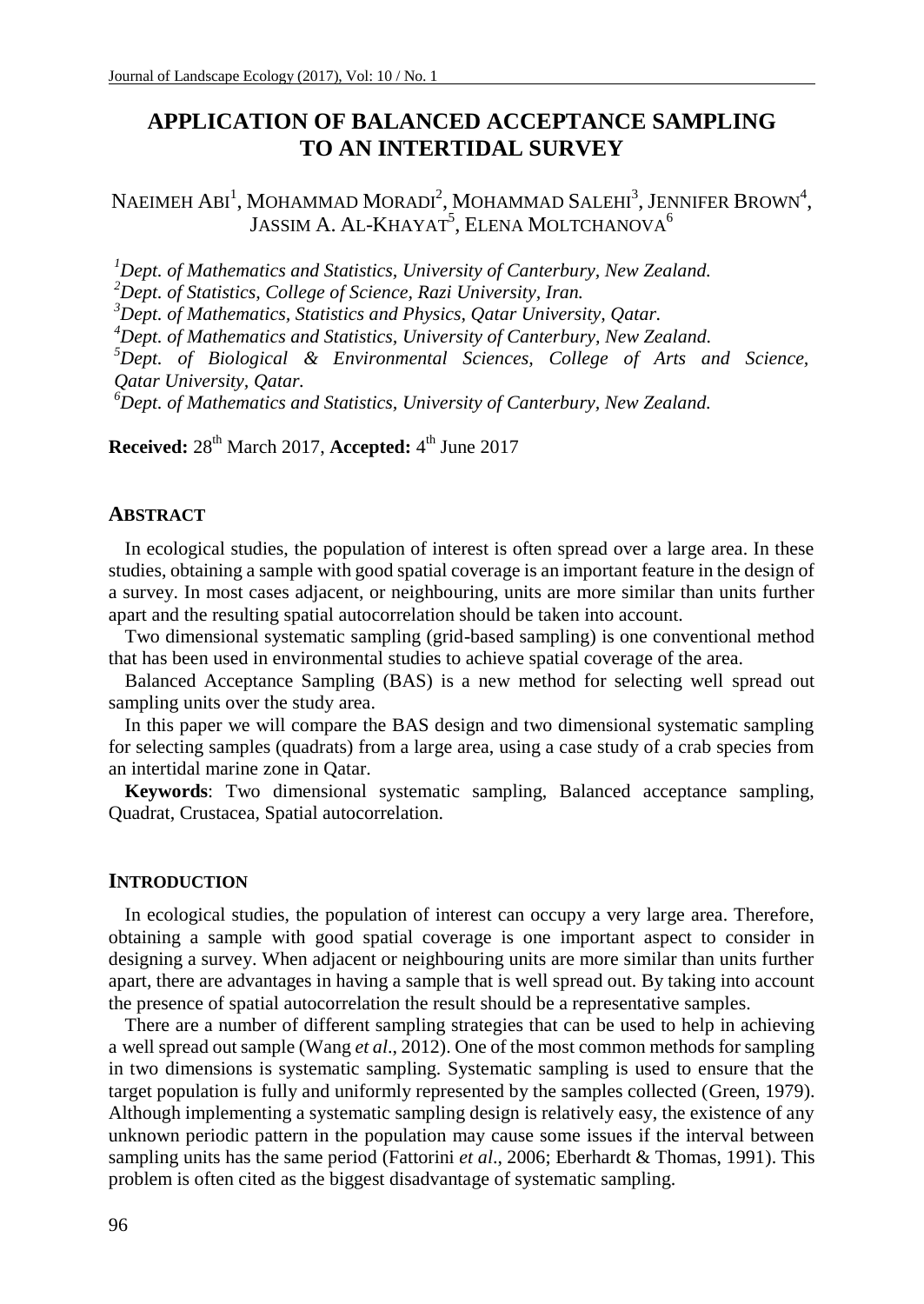# **APPLICATION OF BALANCED ACCEPTANCE SAMPLING TO AN INTERTIDAL SURVEY**

# Naeimeh Abi $^{\rm l}$ , Mohammad Moradi $^{\rm 2}$ , Mohammad Salehi $^{\rm 3}$ , Jennifer Brown $^{\rm 4}$ , JASSIM A. AL-KHAYAT $^5$ , ELENA MOLTCHANOVA $^6$

*<sup>1</sup>Dept. of Mathematics and Statistics, University of Canterbury, New Zealand.*

*<sup>2</sup>Dept. of Statistics, College of Science, Razi University, Iran.* 

*<sup>3</sup>Dept. of Mathematics, Statistics and Physics, Qatar University, Qatar.* 

*<sup>4</sup>Dept. of Mathematics and Statistics, University of Canterbury, New Zealand.*

*<sup>5</sup>Dept. of Biological & Environmental Sciences, College of Arts and Science, Qatar University, Qatar.*

*<sup>6</sup>Dept. of Mathematics and Statistics, University of Canterbury, New Zealand.*

**Received:** 28<sup>th</sup> March 2017, **Accepted:** 4<sup>th</sup> June 2017

### **ABSTRACT**

In ecological studies, the population of interest is often spread over a large area. In these studies, obtaining a sample with good spatial coverage is an important feature in the design of a survey. In most cases adjacent, or neighbouring, units are more similar than units further apart and the resulting spatial autocorrelation should be taken into account.

Two dimensional systematic sampling (grid-based sampling) is one conventional method that has been used in environmental studies to achieve spatial coverage of the area.

Balanced Acceptance Sampling (BAS) is a new method for selecting well spread out sampling units over the study area.

In this paper we will compare the BAS design and two dimensional systematic sampling for selecting samples (quadrats) from a large area, using a case study of a crab species from an intertidal marine zone in Qatar.

**Keywords**: Two dimensional systematic sampling, Balanced acceptance sampling, Quadrat, Crustacea, Spatial autocorrelation.

### **INTRODUCTION**

In ecological studies, the population of interest can occupy a very large area. Therefore, obtaining a sample with good spatial coverage is one important aspect to consider in designing a survey. When adjacent or neighbouring units are more similar than units further apart, there are advantages in having a sample that is well spread out. By taking into account the presence of spatial autocorrelation the result should be a representative samples.

There are a number of different sampling strategies that can be used to help in achieving a well spread out sample (Wang *et al*., 2012). One of the most common methods for sampling in two dimensions is systematic sampling. Systematic sampling is used to ensure that the target population is fully and uniformly represented by the samples collected (Green, 1979). Although implementing a systematic sampling design is relatively easy, the existence of any unknown periodic pattern in the population may cause some issues if the interval between sampling units has the same period (Fattorini *et al*., 2006; Eberhardt & Thomas, 1991). This problem is often cited as the biggest disadvantage of systematic sampling.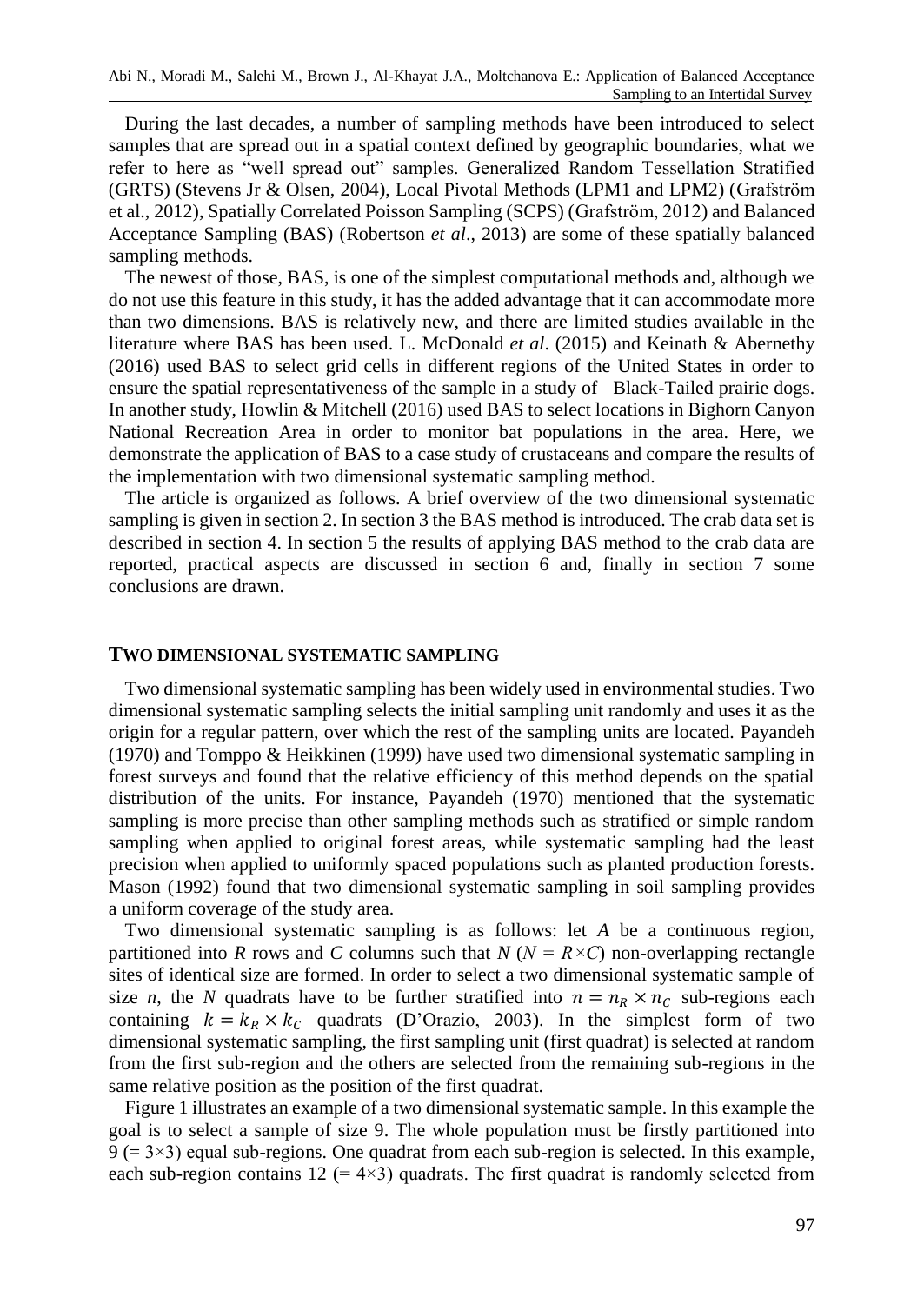During the last decades, a number of sampling methods have been introduced to select samples that are spread out in a spatial context defined by geographic boundaries, what we refer to here as "well spread out" samples. Generalized Random Tessellation Stratified (GRTS) (Stevens Jr & Olsen, 2004), Local Pivotal Methods (LPM1 and LPM2) (Grafström et al., 2012), Spatially Correlated Poisson Sampling (SCPS) (Grafström, 2012) and Balanced Acceptance Sampling (BAS) (Robertson *et al*., 2013) are some of these spatially balanced sampling methods.

The newest of those, BAS, is one of the simplest computational methods and, although we do not use this feature in this study, it has the added advantage that it can accommodate more than two dimensions. BAS is relatively new, and there are limited studies available in the literature where BAS has been used. L. McDonald *et al*. (2015) and Keinath & Abernethy (2016) used BAS to select grid cells in different regions of the United States in order to ensure the spatial representativeness of the sample in a study of Black-Tailed prairie dogs. In another study, Howlin & Mitchell (2016) used BAS to select locations in Bighorn Canyon National Recreation Area in order to monitor bat populations in the area. Here, we demonstrate the application of BAS to a case study of crustaceans and compare the results of the implementation with two dimensional systematic sampling method.

The article is organized as follows. A brief overview of the two dimensional systematic sampling is given in section 2. In section 3 the BAS method is introduced. The crab data set is described in section 4. In section 5 the results of applying BAS method to the crab data are reported, practical aspects are discussed in section 6 and, finally in section 7 some conclusions are drawn.

### **TWO DIMENSIONAL SYSTEMATIC SAMPLING**

Two dimensional systematic sampling has been widely used in environmental studies. Two dimensional systematic sampling selects the initial sampling unit randomly and uses it as the origin for a regular pattern, over which the rest of the sampling units are located. Payandeh (1970) and Tomppo & Heikkinen (1999) have used two dimensional systematic sampling in forest surveys and found that the relative efficiency of this method depends on the spatial distribution of the units. For instance, Payandeh (1970) mentioned that the systematic sampling is more precise than other sampling methods such as stratified or simple random sampling when applied to original forest areas, while systematic sampling had the least precision when applied to uniformly spaced populations such as planted production forests. Mason (1992) found that two dimensional systematic sampling in soil sampling provides a uniform coverage of the study area.

Two dimensional systematic sampling is as follows: let *A* be a continuous region, partitioned into *R* rows and *C* columns such that  $N (N = R \times C)$  non-overlapping rectangle sites of identical size are formed. In order to select a two dimensional systematic sample of size *n*, the *N* quadrats have to be further stratified into  $n = n_R \times n_C$  sub-regions each containing  $k = k_R \times k_C$  quadrats (D'Orazio, 2003). In the simplest form of two dimensional systematic sampling, the first sampling unit (first quadrat) is selected at random from the first sub-region and the others are selected from the remaining sub-regions in the same relative position as the position of the first quadrat.

Figure 1 illustrates an example of a two dimensional systematic sample. In this example the goal is to select a sample of size 9. The whole population must be firstly partitioned into  $9 (= 3 \times 3)$  equal sub-regions. One quadrat from each sub-region is selected. In this example, each sub-region contains 12 (=  $4\times3$ ) quadrats. The first quadrat is randomly selected from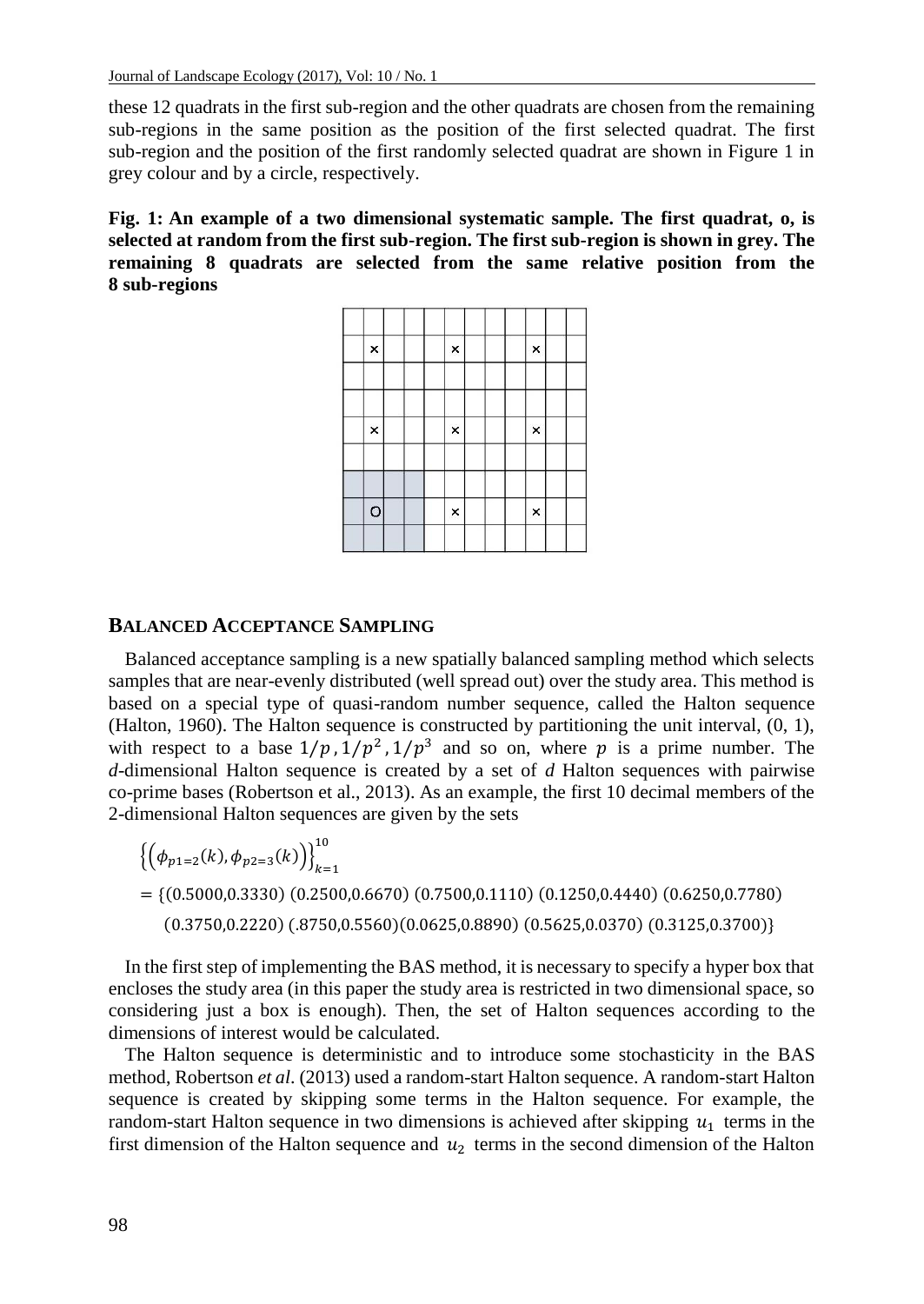these 12 quadrats in the first sub-region and the other quadrats are chosen from the remaining sub-regions in the same position as the position of the first selected quadrat. The first sub-region and the position of the first randomly selected quadrat are shown in Figure 1 in grey colour and by a circle, respectively.

**Fig. 1: An example of a two dimensional systematic sample. The first quadrat, o, is selected at random from the first sub-region. The first sub-region is shown in grey. The remaining 8 quadrats are selected from the same relative position from the 8 sub-regions**



### **BALANCED ACCEPTANCE SAMPLING**

Balanced acceptance sampling is a new spatially balanced sampling method which selects samples that are near-evenly distributed (well spread out) over the study area. This method is based on a special type of quasi-random number sequence, called the Halton sequence (Halton, 1960). The Halton sequence is constructed by partitioning the unit interval, (0, 1), with respect to a base  $1/p$ ,  $1/p^2$ ,  $1/p^3$  and so on, where p is a prime number. The *d*-dimensional Halton sequence is created by a set of *d* Halton sequences with pairwise co-prime bases (Robertson et al., 2013). As an example, the first 10 decimal members of the 2-dimensional Halton sequences are given by the sets

$$
\left\{ \left( \phi_{p1=2}(k), \phi_{p2=3}(k) \right) \right\}_{k=1}^{10}
$$
  
= {(0.5000,0.3330) (0.2500,0.6670) (0.7500,0.1110) (0.1250,0.4440) (0.6250,0.7780) (0.3750,0.2220) (.8750,0.5560) (0.0625,0.8890) (0.5625,0.0370) (0.3125,0.3700)}

In the first step of implementing the BAS method, it is necessary to specify a hyper box that encloses the study area (in this paper the study area is restricted in two dimensional space, so considering just a box is enough). Then, the set of Halton sequences according to the dimensions of interest would be calculated.

The Halton sequence is deterministic and to introduce some stochasticity in the BAS method, Robertson *et al*. (2013) used a random-start Halton sequence. A random-start Halton sequence is created by skipping some terms in the Halton sequence. For example, the random-start Halton sequence in two dimensions is achieved after skipping  $u_1$  terms in the first dimension of the Halton sequence and  $u<sub>2</sub>$  terms in the second dimension of the Halton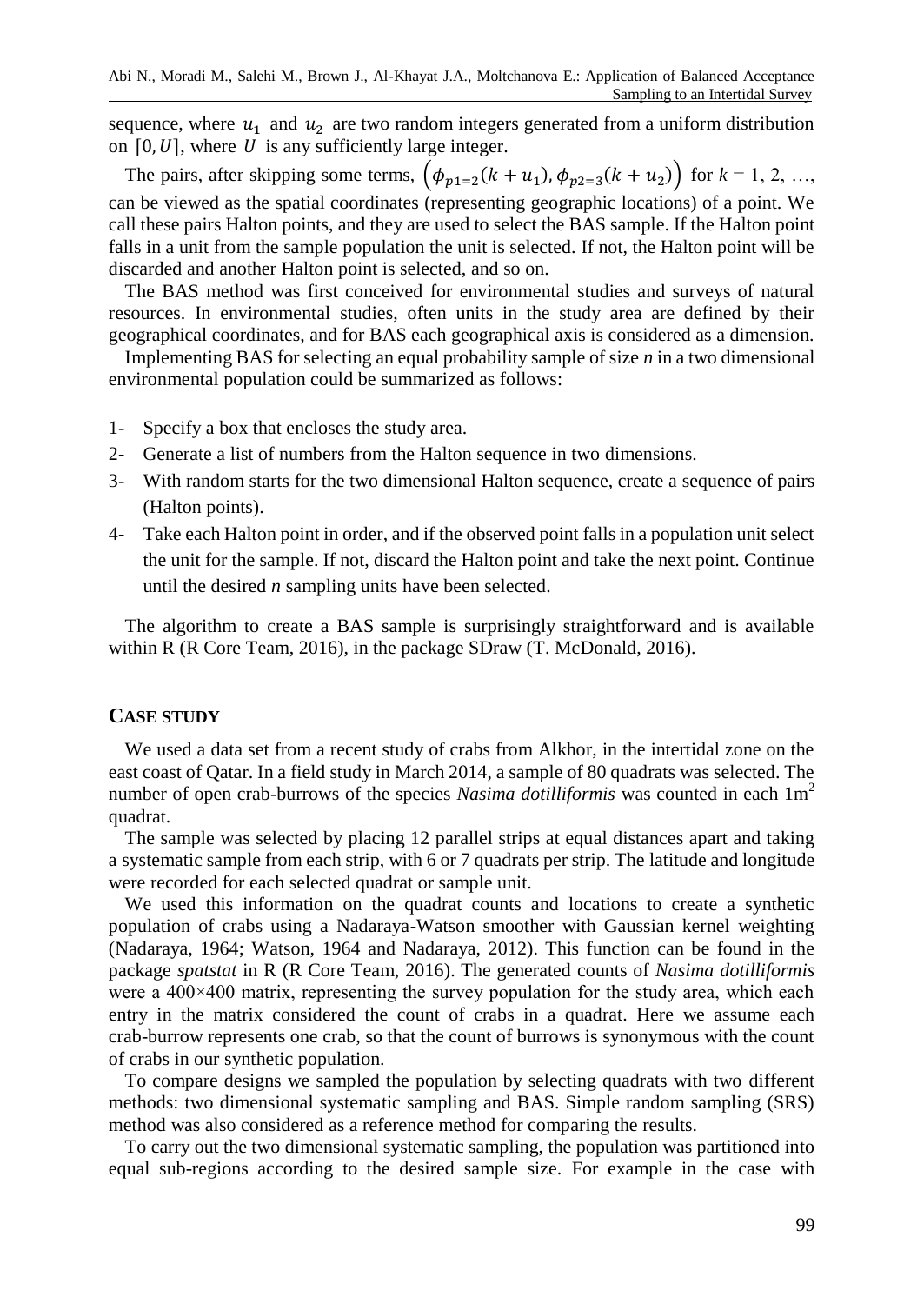sequence, where  $u_1$  and  $u_2$  are two random integers generated from a uniform distribution on  $[0, U]$ , where U is any sufficiently large integer.

The pairs, after skipping some terms,  $(\phi_{p1=2}(k+u_1), \phi_{p2=3}(k+u_2))$  for  $k = 1, 2, ...,$ can be viewed as the spatial coordinates (representing geographic locations) of a point. We call these pairs Halton points, and they are used to select the BAS sample. If the Halton point falls in a unit from the sample population the unit is selected. If not, the Halton point will be discarded and another Halton point is selected, and so on.

The BAS method was first conceived for environmental studies and surveys of natural resources. In environmental studies, often units in the study area are defined by their geographical coordinates, and for BAS each geographical axis is considered as a dimension.

Implementing BAS for selecting an equal probability sample of size *n* in a two dimensional environmental population could be summarized as follows:

- 1- Specify a box that encloses the study area.
- 2- Generate a list of numbers from the Halton sequence in two dimensions.
- 3- With random starts for the two dimensional Halton sequence, create a sequence of pairs (Halton points).
- 4- Take each Halton point in order, and if the observed point falls in a population unit select the unit for the sample. If not, discard the Halton point and take the next point. Continue until the desired *n* sampling units have been selected.

The algorithm to create a BAS sample is surprisingly straightforward and is available within R (R Core Team, 2016), in the package SDraw (T. McDonald, 2016).

### **CASE STUDY**

We used a data set from a recent study of crabs from Alkhor, in the intertidal zone on the east coast of Qatar. In a field study in March 2014, a sample of 80 quadrats was selected. The number of open crab-burrows of the species *Nasima dotilliformis* was counted in each  $1m<sup>2</sup>$ quadrat.

The sample was selected by placing 12 parallel strips at equal distances apart and taking a systematic sample from each strip, with 6 or 7 quadrats per strip. The latitude and longitude were recorded for each selected quadrat or sample unit.

We used this information on the quadrat counts and locations to create a synthetic population of crabs using a Nadaraya-Watson smoother with Gaussian kernel weighting (Nadaraya, 1964; Watson, 1964 and Nadaraya, 2012). This function can be found in the package *spatstat* in R (R Core Team, 2016). The generated counts of *Nasima dotilliformis* were a 400×400 matrix, representing the survey population for the study area, which each entry in the matrix considered the count of crabs in a quadrat. Here we assume each crab-burrow represents one crab, so that the count of burrows is synonymous with the count of crabs in our synthetic population.

To compare designs we sampled the population by selecting quadrats with two different methods: two dimensional systematic sampling and BAS. Simple random sampling (SRS) method was also considered as a reference method for comparing the results.

To carry out the two dimensional systematic sampling, the population was partitioned into equal sub-regions according to the desired sample size. For example in the case with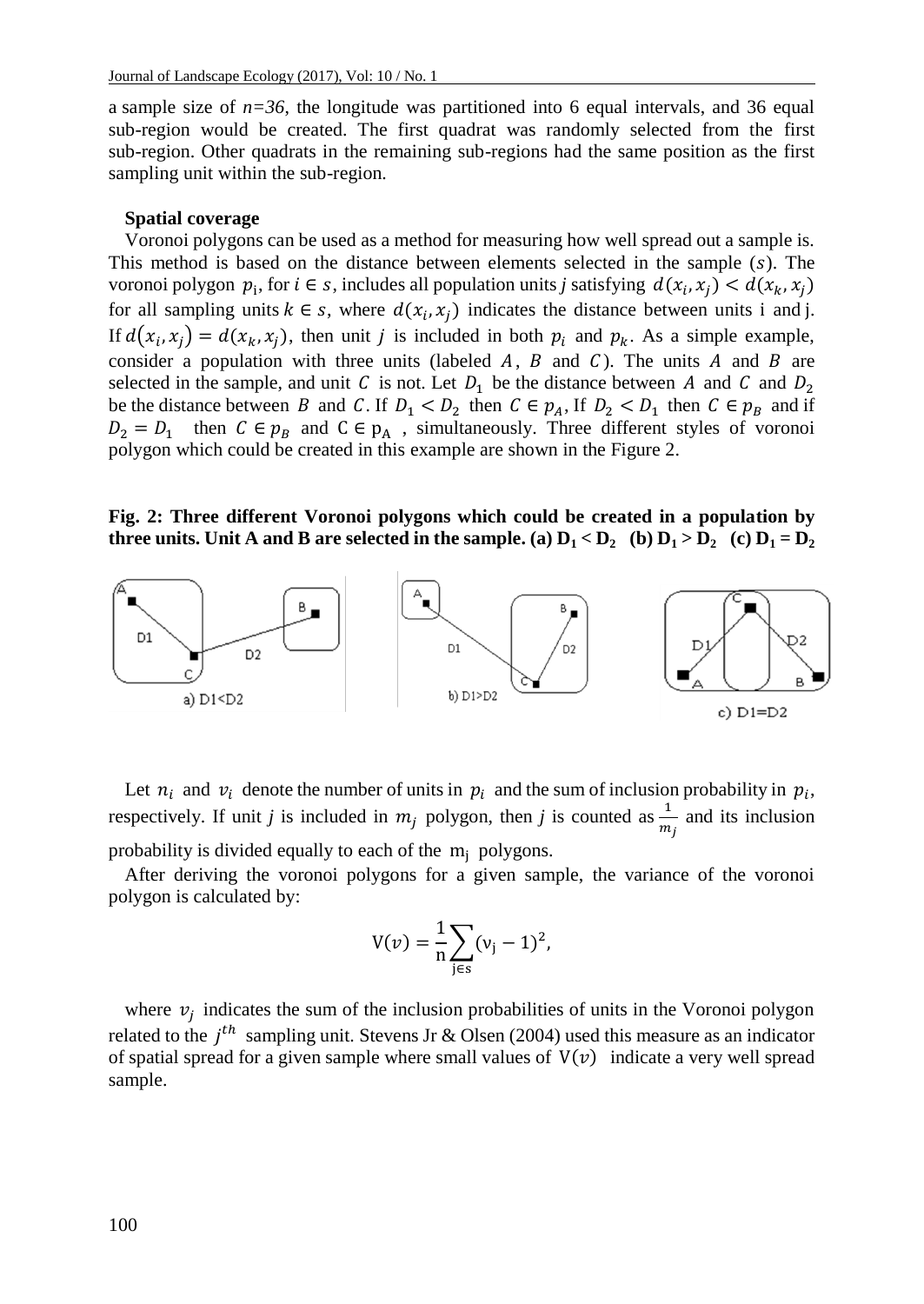a sample size of  $n=36$ , the longitude was partitioned into 6 equal intervals, and 36 equal sub-region would be created. The first quadrat was randomly selected from the first sub-region. Other quadrats in the remaining sub-regions had the same position as the first sampling unit within the sub-region.

#### **Spatial coverage**

Voronoi polygons can be used as a method for measuring how well spread out a sample is. This method is based on the distance between elements selected in the sample  $(s)$ . The voronoi polygon  $p_i$ , for  $i \in s$ , includes all population units *j* satisfying  $d(x_i, x_j) < d(x_k, x_j)$ for all sampling units  $k \in s$ , where  $d(x_i, x_j)$  indicates the distance between units i and j. If  $d(x_i, x_j) = d(x_k, x_j)$ , then unit j is included in both  $p_i$  and  $p_k$ . As a simple example, consider a population with three units (labeled  $A$ ,  $B$  and  $C$ ). The units  $A$  and  $B$  are selected in the sample, and unit C is not. Let  $D_1$  be the distance between A and C and  $D_2$ be the distance between B and C. If  $D_1 < D_2$  then  $C \in p_A$ , If  $D_2 < D_1$  then  $C \in p_B$  and if  $D_2 = D_1$  then  $C \in p_B$  and  $C \in p_A$ , simultaneously. Three different styles of voronoi polygon which could be created in this example are shown in the Figure 2.

### **Fig. 2: Three different Voronoi polygons which could be created in a population by three units.** Unit A and B are selected in the sample. (a)  $D_1 < D_2$  (b)  $D_1 > D_2$  (c)  $D_1 = D_2$



Let  $n_i$  and  $v_i$  denote the number of units in  $p_i$  and the sum of inclusion probability in  $p_i$ , respectively. If unit *j* is included in  $m_j$  polygon, then *j* is counted as  $\frac{1}{m_j}$  and its inclusion probability is divided equally to each of the  $m_i$  polygons.

After deriving the voronoi polygons for a given sample, the variance of the voronoi polygon is calculated by:

$$
V(v) = \frac{1}{n} \sum_{j \in s} (v_j - 1)^2,
$$

where  $v_i$  indicates the sum of the inclusion probabilities of units in the Voronoi polygon related to the  $j<sup>th</sup>$  sampling unit. Stevens Jr & Olsen (2004) used this measure as an indicator of spatial spread for a given sample where small values of  $V(v)$  indicate a very well spread sample.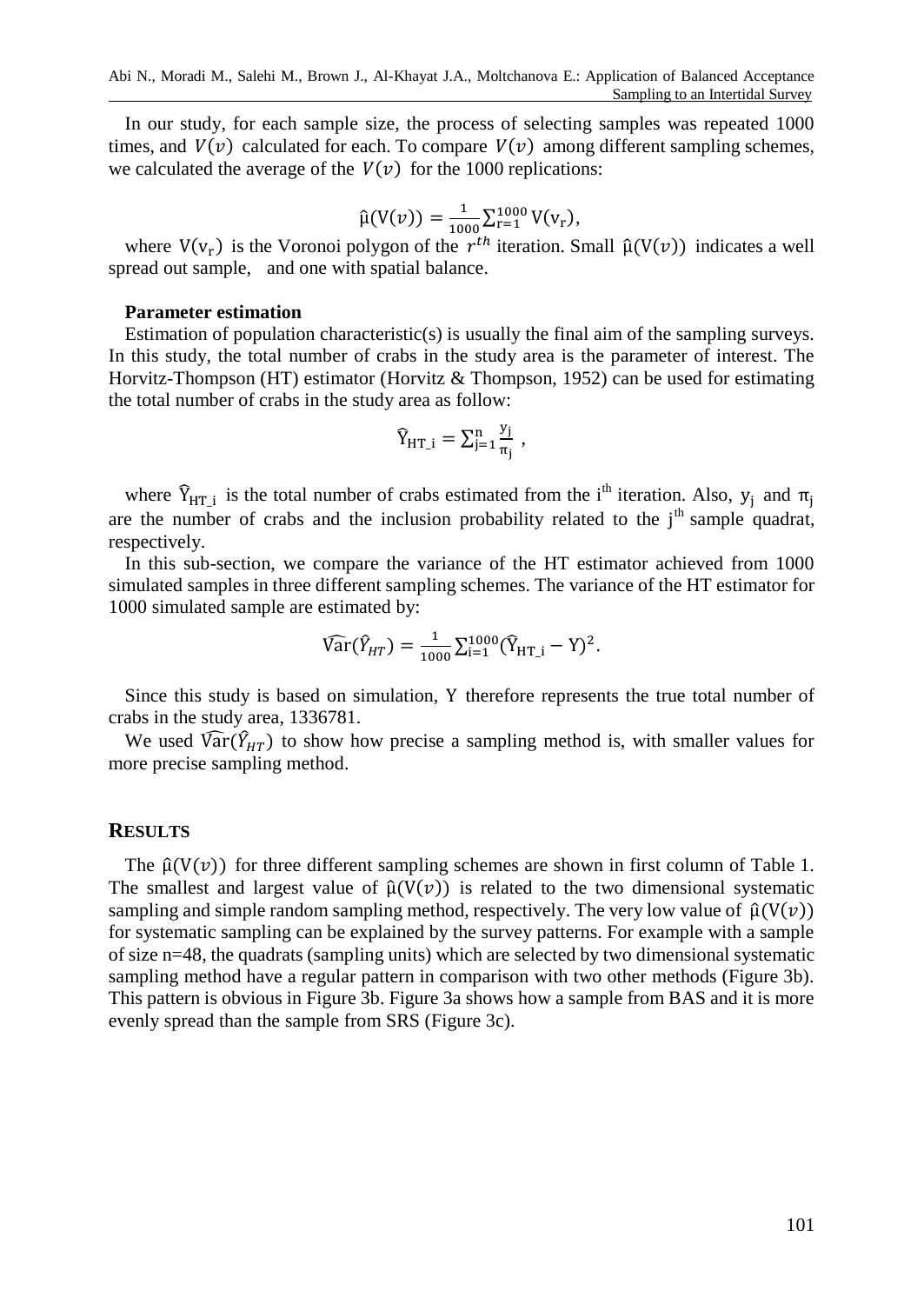In our study, for each sample size, the process of selecting samples was repeated 1000 times, and  $V(v)$  calculated for each. To compare  $V(v)$  among different sampling schemes, we calculated the average of the  $V(v)$  for the 1000 replications:

$$
\hat{\mu}(V(\nu)) = \frac{1}{1000} \sum_{r=1}^{1000} V(v_r),
$$

where  $V(v_r)$  is the Voronoi polygon of the  $r^{th}$  iteration. Small  $\hat{\mu}(V(v))$  indicates a well spread out sample, and one with spatial balance.

### **Parameter estimation**

Estimation of population characteristic(s) is usually the final aim of the sampling surveys. In this study, the total number of crabs in the study area is the parameter of interest. The Horvitz-Thompson (HT) estimator (Horvitz & Thompson, 1952) can be used for estimating the total number of crabs in the study area as follow:

$$
\widehat{Y}_{HT\_i} = \textstyle\sum_{j=1}^n \frac{y_j}{\pi_j} \; ,
$$

where  $\hat{Y}_{HT,i}$  is the total number of crabs estimated from the i<sup>th</sup> iteration. Also,  $y_j$  and are the number of crabs and the inclusion probability related to the  $j<sup>th</sup>$  sample quadrat, respectively.

In this sub-section, we compare the variance of the HT estimator achieved from 1000 simulated samples in three different sampling schemes. The variance of the HT estimator for 1000 simulated sample are estimated by:

$$
\widehat{\text{Var}}(\hat{Y}_{HT}) = \frac{1}{1000} \sum_{i=1}^{1000} (\hat{Y}_{HT_i} - Y)^2.
$$

Since this study is based on simulation, Y therefore represents the true total number of crabs in the study area, 1336781.

We used  $\widehat{\text{Var}}(\hat{Y}_{HT})$  to show how precise a sampling method is, with smaller values for more precise sampling method.

### **RESULTS**

The  $\hat{\mu}(V(v))$  for three different sampling schemes are shown in first column of Table 1. The smallest and largest value of  $\hat{\mu}(V(v))$  is related to the two dimensional systematic sampling and simple random sampling method, respectively. The very low value of  $\hat{\mu}(V(v))$ for systematic sampling can be explained by the survey patterns. For example with a sample of size n=48, the quadrats (sampling units) which are selected by two dimensional systematic sampling method have a regular pattern in comparison with two other methods (Figure 3b). This pattern is obvious in Figure 3b. Figure 3a shows how a sample from BAS and it is more evenly spread than the sample from SRS (Figure 3c).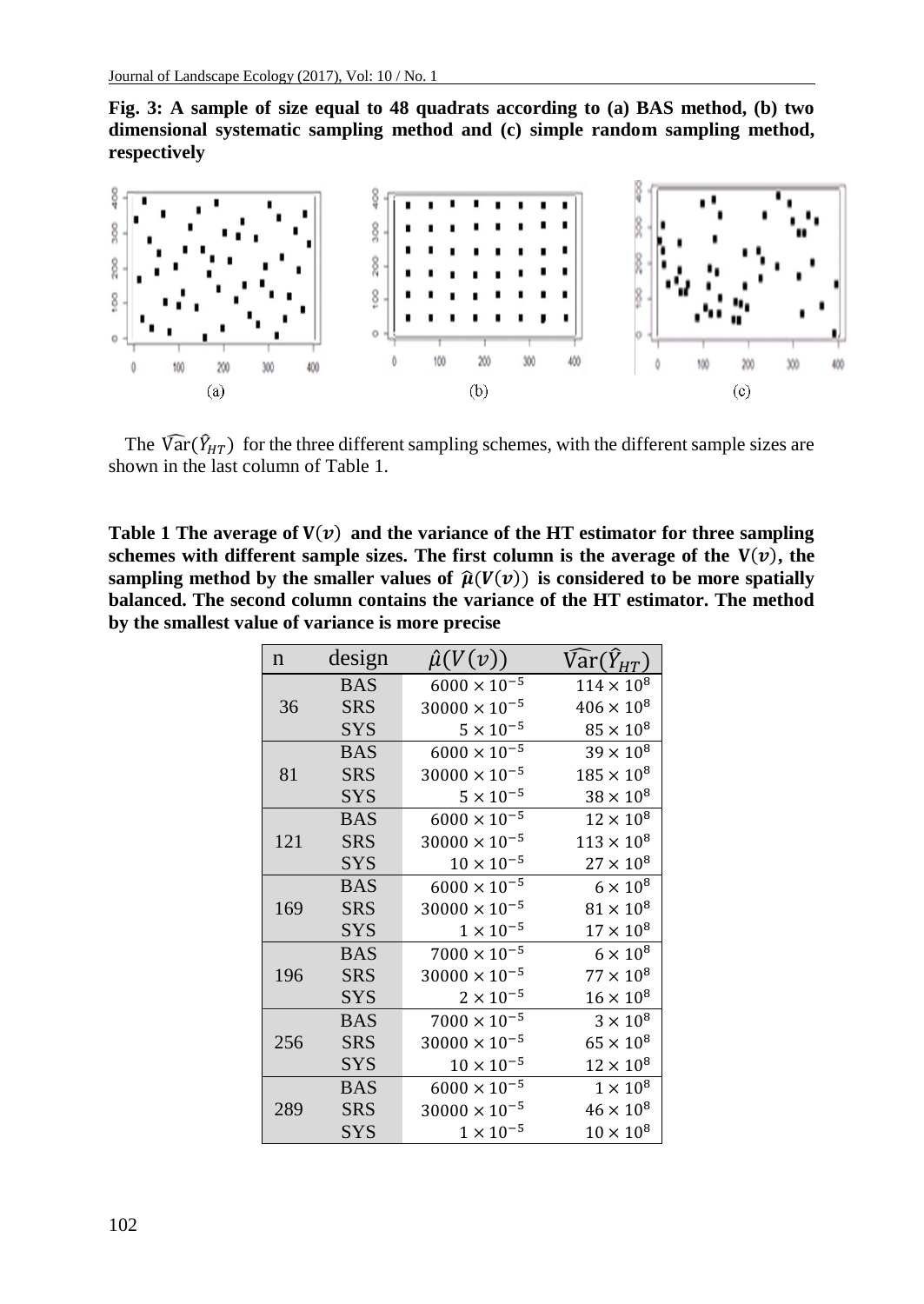**Fig. 3: A sample of size equal to 48 quadrats according to (a) BAS method, (b) two dimensional systematic sampling method and (c) simple random sampling method, respectively**



The  $\widehat{\text{Var}}(\hat{Y}_{HT})$  for the three different sampling schemes, with the different sample sizes are shown in the last column of [Table 1.](#page-6-0) 

<span id="page-6-0"></span>Table 1 The average of  $V(v)$  and the variance of the HT estimator for three sampling schemes with different sample sizes. The first column is the average of the  $V(v)$ , the sampling method by the smaller values of  $\hat{\mu}(V(v))$  is considered to be more spatially **balanced. The second column contains the variance of the HT estimator. The method by the smallest value of variance is more precise**

| $\mathbf n$ | design     | $\hat{\mu}(V(v))$      | $Var(Y_{HT})$       |
|-------------|------------|------------------------|---------------------|
| 36          | <b>BAS</b> | $6000 \times 10^{-5}$  | $114 \times 10^{8}$ |
|             | <b>SRS</b> | $30000 \times 10^{-5}$ | $406 \times 10^{8}$ |
|             | <b>SYS</b> | $5\times10^{-5}$       | $85 \times 10^8$    |
| 81          | <b>BAS</b> | $6000 \times 10^{-5}$  | $39 \times 10^8$    |
|             | <b>SRS</b> | $30000 \times 10^{-5}$ | $185 \times 10^8$   |
|             | <b>SYS</b> | $5\times10^{-5}$       | $38 \times 10^8$    |
| 121         | <b>BAS</b> | $6000\times10^{-5}$    | $12 \times 10^{8}$  |
|             | <b>SRS</b> | $30000 \times 10^{-5}$ | $113 \times 10^8$   |
|             | <b>SYS</b> | $10 \times 10^{-5}$    | $27 \times 10^8$    |
| 169         | <b>BAS</b> | $6000 \times 10^{-5}$  | $6 \times 10^8$     |
|             | <b>SRS</b> | $30000 \times 10^{-5}$ | $81 \times 10^8$    |
|             | <b>SYS</b> | $1 \times 10^{-5}$     | $17 \times 10^8$    |
| 196         | <b>BAS</b> | $7000 \times 10^{-5}$  | $6 \times 10^8$     |
|             | <b>SRS</b> | $30000 \times 10^{-5}$ | $77\times10^8$      |
|             | <b>SYS</b> | $2 \times 10^{-5}$     | $16 \times 10^8$    |
| 256         | <b>BAS</b> | $7000\times10^{-5}$    | $3 \times 10^8$     |
|             | <b>SRS</b> | $30000 \times 10^{-5}$ | $65\times10^8$      |
|             | <b>SYS</b> | $10 \times 10^{-5}$    | $12 \times 10^8$    |
| 289         | <b>BAS</b> | $6000\times10^{-5}$    | $1 \times 10^8$     |
|             | <b>SRS</b> | $30000 \times 10^{-5}$ | $46\times10^8$      |
|             | SYS        | $1 \times 10^{-5}$     | $10 \times 10^8$    |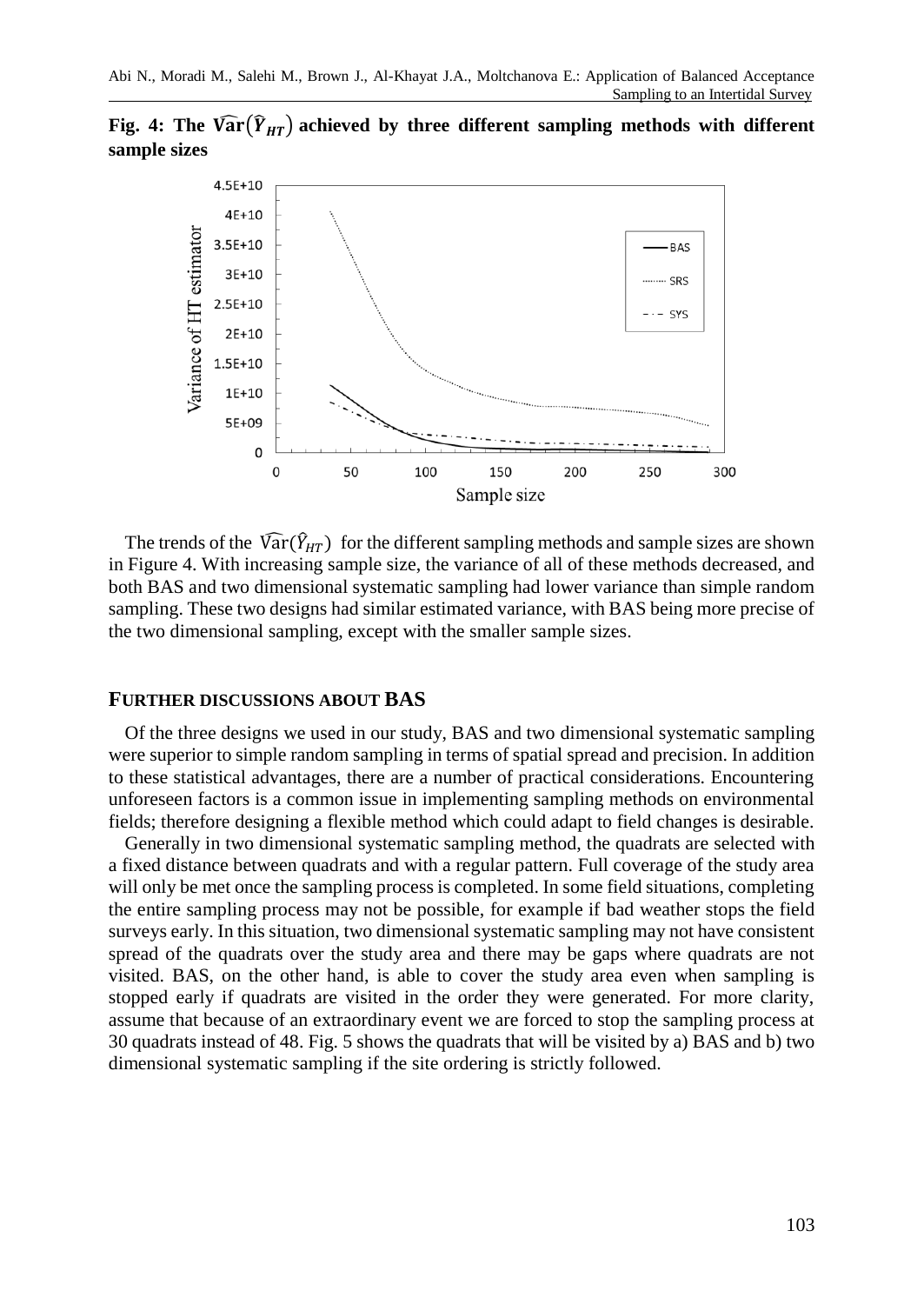## **Fig.** 4: The  $\widehat{Var}(\widehat{Y}_{HT})$  achieved by three different sampling methods with different **sample sizes**



The trends of the  $\widehat{\text{Var}}(\hat{Y}_{HT})$  for the different sampling methods and sample sizes are shown in Figure 4. With increasing sample size, the variance of all of these methods decreased, and both BAS and two dimensional systematic sampling had lower variance than simple random sampling. These two designs had similar estimated variance, with BAS being more precise of the two dimensional sampling, except with the smaller sample sizes.

### **FURTHER DISCUSSIONS ABOUT BAS**

Of the three designs we used in our study, BAS and two dimensional systematic sampling were superior to simple random sampling in terms of spatial spread and precision. In addition to these statistical advantages, there are a number of practical considerations. Encountering unforeseen factors is a common issue in implementing sampling methods on environmental fields; therefore designing a flexible method which could adapt to field changes is desirable.

Generally in two dimensional systematic sampling method, the quadrats are selected with a fixed distance between quadrats and with a regular pattern. Full coverage of the study area will only be met once the sampling process is completed. In some field situations, completing the entire sampling process may not be possible, for example if bad weather stops the field surveys early. In this situation, two dimensional systematic sampling may not have consistent spread of the quadrats over the study area and there may be gaps where quadrats are not visited. BAS, on the other hand, is able to cover the study area even when sampling is stopped early if quadrats are visited in the order they were generated. For more clarity, assume that because of an extraordinary event we are forced to stop the sampling process at 30 quadrats instead of 48. [Fig. 5](#page-8-0) shows the quadrats that will be visited by a) BAS and b) two dimensional systematic sampling if the site ordering is strictly followed.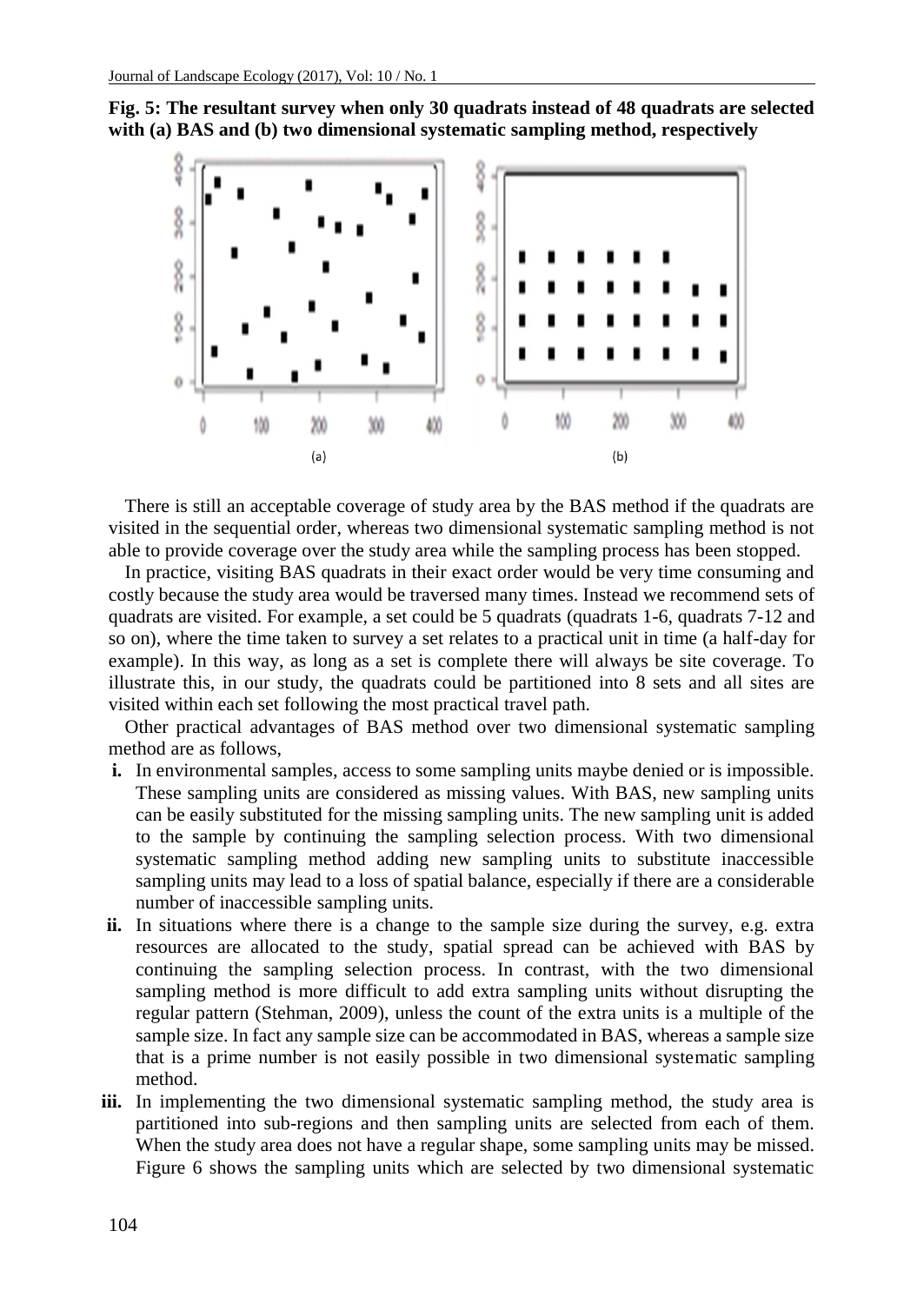<span id="page-8-0"></span>**Fig. 5: The resultant survey when only 30 quadrats instead of 48 quadrats are selected with (a) BAS and (b) two dimensional systematic sampling method, respectively**



There is still an acceptable coverage of study area by the BAS method if the quadrats are visited in the sequential order, whereas two dimensional systematic sampling method is not able to provide coverage over the study area while the sampling process has been stopped.

In practice, visiting BAS quadrats in their exact order would be very time consuming and costly because the study area would be traversed many times. Instead we recommend sets of quadrats are visited. For example, a set could be 5 quadrats (quadrats 1-6, quadrats 7-12 and so on), where the time taken to survey a set relates to a practical unit in time (a half-day for example). In this way, as long as a set is complete there will always be site coverage. To illustrate this, in our study, the quadrats could be partitioned into 8 sets and all sites are visited within each set following the most practical travel path.

Other practical advantages of BAS method over two dimensional systematic sampling method are as follows,

- **i.** In environmental samples, access to some sampling units maybe denied or is impossible. These sampling units are considered as missing values. With BAS, new sampling units can be easily substituted for the missing sampling units. The new sampling unit is added to the sample by continuing the sampling selection process. With two dimensional systematic sampling method adding new sampling units to substitute inaccessible sampling units may lead to a loss of spatial balance, especially if there are a considerable number of inaccessible sampling units.
- ii. In situations where there is a change to the sample size during the survey, e.g. extra resources are allocated to the study, spatial spread can be achieved with BAS by continuing the sampling selection process. In contrast, with the two dimensional sampling method is more difficult to add extra sampling units without disrupting the regular pattern (Stehman, 2009), unless the count of the extra units is a multiple of the sample size. In fact any sample size can be accommodated in BAS, whereas a sample size that is a prime number is not easily possible in two dimensional systematic sampling method.
- **iii.** In implementing the two dimensional systematic sampling method, the study area is partitioned into sub-regions and then sampling units are selected from each of them. When the study area does not have a regular shape, some sampling units may be missed. Figure 6 shows the sampling units which are selected by two dimensional systematic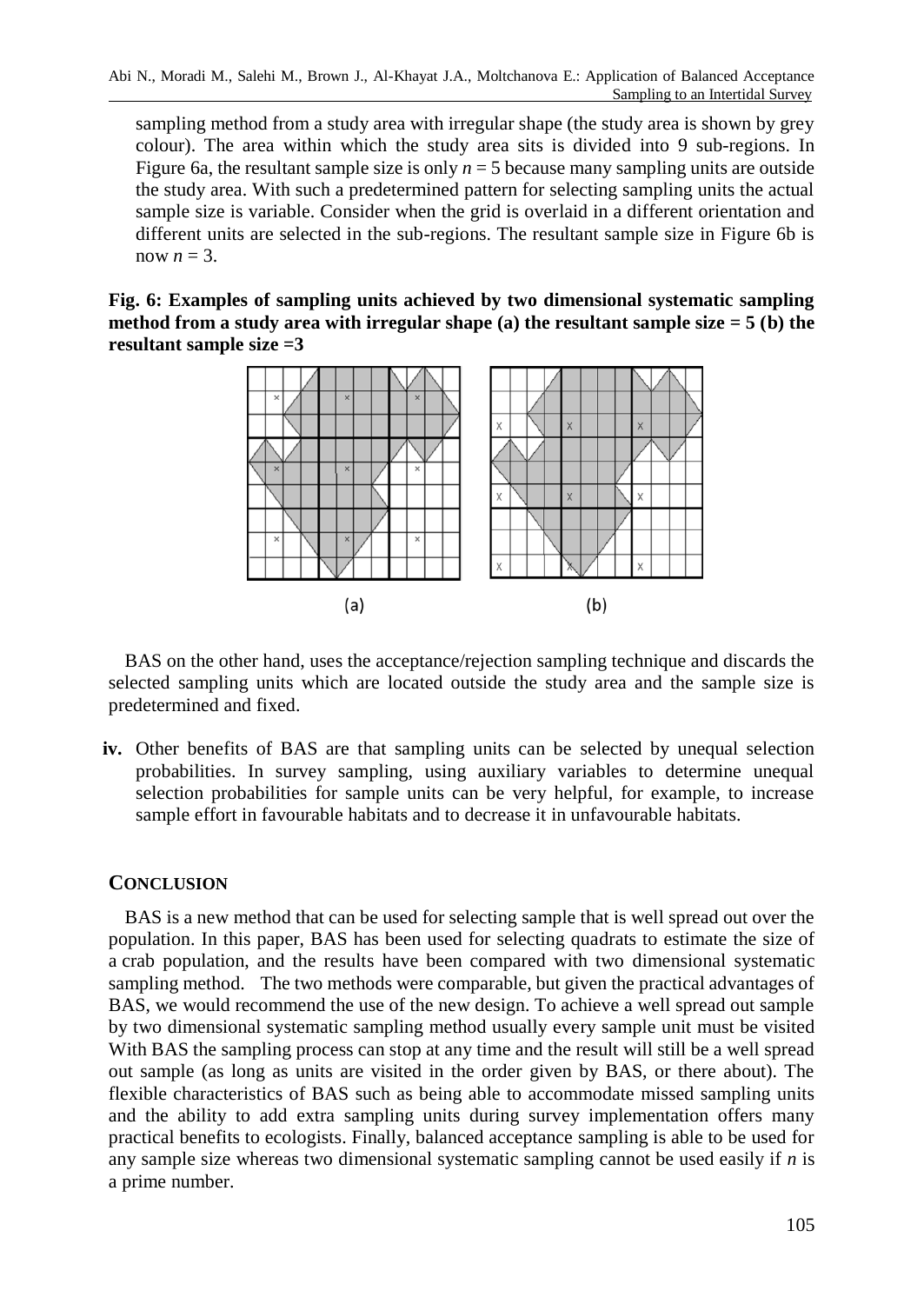sampling method from a study area with irregular shape (the study area is shown by grey colour). The area within which the study area sits is divided into 9 sub-regions. In Figure 6a, the resultant sample size is only  $n = 5$  because many sampling units are outside the study area. With such a predetermined pattern for selecting sampling units the actual sample size is variable. Consider when the grid is overlaid in a different orientation and different units are selected in the sub-regions. The resultant sample size in Figure 6b is now  $n = 3$ .

**Fig. 6: Examples of sampling units achieved by two dimensional systematic sampling method from a study area with irregular shape (a) the resultant sample size = 5 (b) the resultant sample size =3**



BAS on the other hand, uses the acceptance/rejection sampling technique and discards the selected sampling units which are located outside the study area and the sample size is predetermined and fixed.

**iv.** Other benefits of BAS are that sampling units can be selected by unequal selection probabilities. In survey sampling, using auxiliary variables to determine unequal selection probabilities for sample units can be very helpful, for example, to increase sample effort in favourable habitats and to decrease it in unfavourable habitats.

### **CONCLUSION**

BAS is a new method that can be used for selecting sample that is well spread out over the population. In this paper, BAS has been used for selecting quadrats to estimate the size of a crab population, and the results have been compared with two dimensional systematic sampling method. The two methods were comparable, but given the practical advantages of BAS, we would recommend the use of the new design. To achieve a well spread out sample by two dimensional systematic sampling method usually every sample unit must be visited With BAS the sampling process can stop at any time and the result will still be a well spread out sample (as long as units are visited in the order given by BAS, or there about). The flexible characteristics of BAS such as being able to accommodate missed sampling units and the ability to add extra sampling units during survey implementation offers many practical benefits to ecologists. Finally, balanced acceptance sampling is able to be used for any sample size whereas two dimensional systematic sampling cannot be used easily if *n* is a prime number.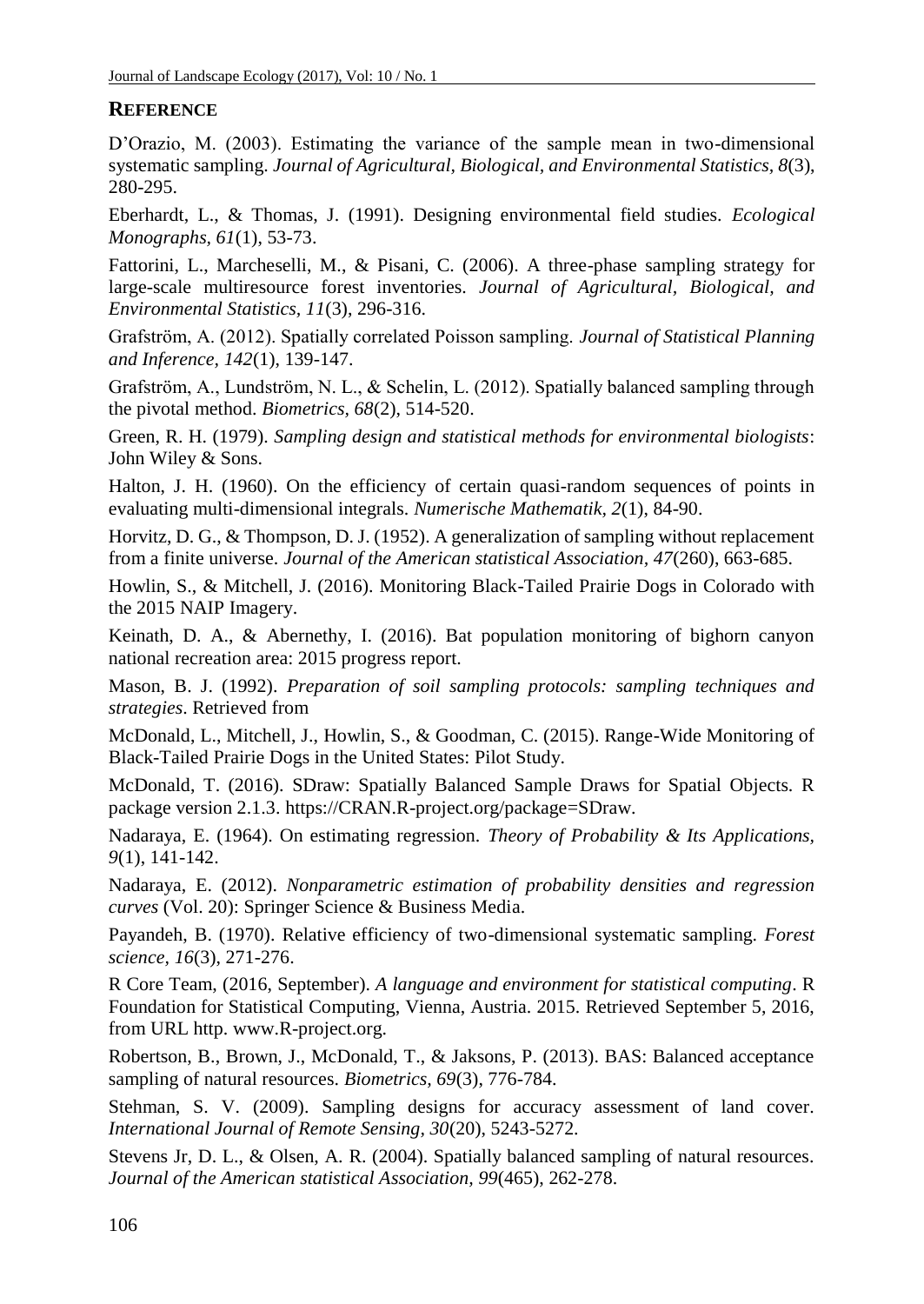## **REFERENCE**

D'Orazio, M. (2003). Estimating the variance of the sample mean in two-dimensional systematic sampling. *Journal of Agricultural, Biological, and Environmental Statistics, 8*(3), 280-295.

Eberhardt, L., & Thomas, J. (1991). Designing environmental field studies. *Ecological Monographs, 61*(1), 53-73.

Fattorini, L., Marcheselli, M., & Pisani, C. (2006). A three-phase sampling strategy for large-scale multiresource forest inventories. *Journal of Agricultural, Biological, and Environmental Statistics, 11*(3), 296-316.

Grafström, A. (2012). Spatially correlated Poisson sampling. *Journal of Statistical Planning and Inference, 142*(1), 139-147.

Grafström, A., Lundström, N. L., & Schelin, L. (2012). Spatially balanced sampling through the pivotal method. *Biometrics, 68*(2), 514-520.

Green, R. H. (1979). *Sampling design and statistical methods for environmental biologists*: John Wiley & Sons.

Halton, J. H. (1960). On the efficiency of certain quasi-random sequences of points in evaluating multi-dimensional integrals. *Numerische Mathematik, 2*(1), 84-90.

Horvitz, D. G., & Thompson, D. J. (1952). A generalization of sampling without replacement from a finite universe. *Journal of the American statistical Association, 47*(260), 663-685.

Howlin, S., & Mitchell, J. (2016). Monitoring Black-Tailed Prairie Dogs in Colorado with the 2015 NAIP Imagery.

Keinath, D. A., & Abernethy, I. (2016). Bat population monitoring of bighorn canyon national recreation area: 2015 progress report.

Mason, B. J. (1992). *Preparation of soil sampling protocols: sampling techniques and strategies*. Retrieved from

McDonald, L., Mitchell, J., Howlin, S., & Goodman, C. (2015). Range-Wide Monitoring of Black-Tailed Prairie Dogs in the United States: Pilot Study.

McDonald, T. (2016). SDraw: Spatially Balanced Sample Draws for Spatial Objects. R package version 2.1.3. https://CRAN.R-project.org/package=SDraw.

Nadaraya, E. (1964). On estimating regression. *Theory of Probability & Its Applications, 9*(1), 141-142.

Nadaraya, E. (2012). *Nonparametric estimation of probability densities and regression curves* (Vol. 20): Springer Science & Business Media.

Payandeh, B. (1970). Relative efficiency of two-dimensional systematic sampling. *Forest science, 16*(3), 271-276.

R Core Team, (2016, September). *A language and environment for statistical computing*. R Foundation for Statistical Computing, Vienna, Austria. 2015. Retrieved September 5, 2016, from URL http. www.R-project.org.

Robertson, B., Brown, J., McDonald, T., & Jaksons, P. (2013). BAS: Balanced acceptance sampling of natural resources. *Biometrics, 69*(3), 776-784.

Stehman, S. V. (2009). Sampling designs for accuracy assessment of land cover. *International Journal of Remote Sensing, 30*(20), 5243-5272.

Stevens Jr, D. L., & Olsen, A. R. (2004). Spatially balanced sampling of natural resources. *Journal of the American statistical Association, 99*(465), 262-278.